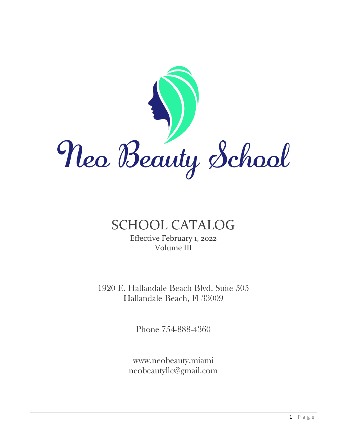

# SCHOOL CATALOG

Effective February 1, 2022 Volume III

1920 E. Hallandale Beach Blvd. Suite 505 Hallandale Beach, Fl 33009

Phone 754-888-4360

www.neobeauty.miami neobeautyllc@gmail.com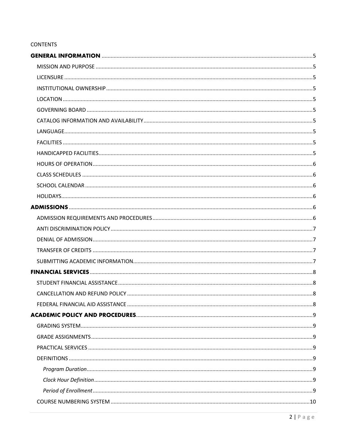#### **CONTENTS**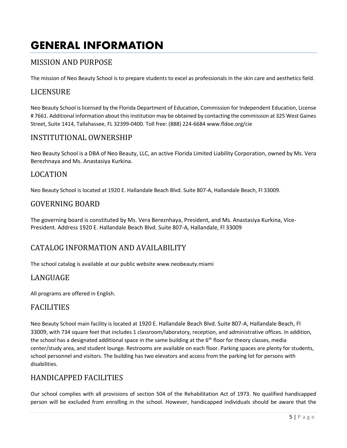# <span id="page-4-0"></span>GENERAL INFORMATION

#### <span id="page-4-1"></span>MISSION AND PURPOSE

The mission of Neo Beauty School is to prepare students to excel as professionals in the skin care and aesthetics field.

#### <span id="page-4-2"></span>LICENSURE

Neo Beauty School is licensed by the Florida Department of Education, Commission for Independent Education, License # 7661. Additional information about this institution may be obtained by contacting the commission at 325 West Gaines Street, Suite 1414, Tallahassee, FL 32399-0400. Toll free: (888) 224-6684 [www.fldoe.org/cie](http://www.fldoe.org/cie)

#### <span id="page-4-3"></span>INSTITUTIONAL OWNERSHIP

Neo Beauty School is a DBA of Neo Beauty, LLC, an active Florida Limited Liability Corporation, owned by Ms. Vera Berezhnaya and Ms. Anastasiya Kurkina.

#### <span id="page-4-4"></span>LOCATION

Neo Beauty School is located at 1920 E. Hallandale Beach Blvd. Suite 807-A, Hallandale Beach, Fl 33009.

#### <span id="page-4-5"></span>GOVERNING BOARD

The governing board is constituted by Ms. Vera Bereznhaya, President, and Ms. Anastasiya Kurkina, Vice-President. Address 1920 E. Hallandale Beach Blvd. Suite 807-A, Hallandale, Fl 33009

## <span id="page-4-6"></span>CATALOG INFORMATION AND AVAILABILITY

The school catalog is available at our public website www.neobeauty.miami

#### <span id="page-4-7"></span>LANGUAGE

All programs are offered in English.

#### <span id="page-4-8"></span>FACILITIES

Neo Beauty School main facility is located at 1920 E. Hallandale Beach Blvd. Suite 807-A, Hallandale Beach, Fl 33009, with 734 square feet that includes 1 classroom/laboratory, reception, and administrative offices. In addition, the school has a designated additional space in the same building at the  $6<sup>th</sup>$  floor for theory classes, media center/study area, and student lounge. Restrooms are available on each floor. Parking spaces are plenty for students, school personnel and visitors. The building has two elevators and access from the parking lot for persons with disabilities.

## <span id="page-4-9"></span>HANDICAPPED FACILITIES

Our school complies with all provisions of section 504 of the Rehabilitation Act of 1973. No qualified handicapped person will be excluded from enrolling in the school. However, handicapped individuals should be aware that the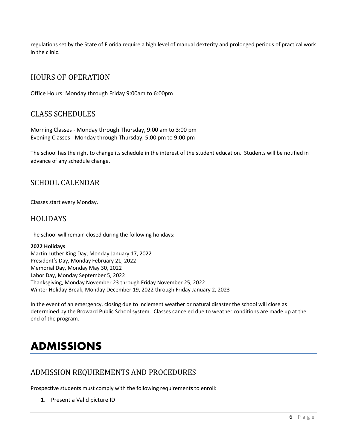regulations set by the State of Florida require a high level of manual dexterity and prolonged periods of practical work in the clinic.

## <span id="page-5-0"></span>HOURS OF OPERATION

Office Hours: Monday through Friday 9:00am to 6:00pm

#### <span id="page-5-1"></span>CLASS SCHEDULES

Morning Classes - Monday through Thursday, 9:00 am to 3:00 pm Evening Classes - Monday through Thursday, 5:00 pm to 9:00 pm

The school has the right to change its schedule in the interest of the student education. Students will be notified in advance of any schedule change.

## <span id="page-5-2"></span>SCHOOL CALENDAR

Classes start every Monday.

#### <span id="page-5-3"></span>HOLIDAYS

The school will remain closed during the following holidays:

#### **2022 Holidays**

Martin Luther King Day, Monday January 17, 2022 President's Day, Monday February 21, 2022 Memorial Day, Monday May 30, 2022 Labor Day, Monday September 5, 2022 Thanksgiving, Monday November 23 through Friday November 25, 2022 Winter Holiday Break, Monday December 19, 2022 through Friday January 2, 2023

In the event of an emergency, closing due to inclement weather or natural disaster the school will close as determined by the Broward Public School system. Classes canceled due to weather conditions are made up at the end of the program.

# <span id="page-5-4"></span>ADMISSIONS

## <span id="page-5-5"></span>ADMISSION REQUIREMENTS AND PROCEDURES

Prospective students must comply with the following requirements to enroll:

1. Present a Valid picture ID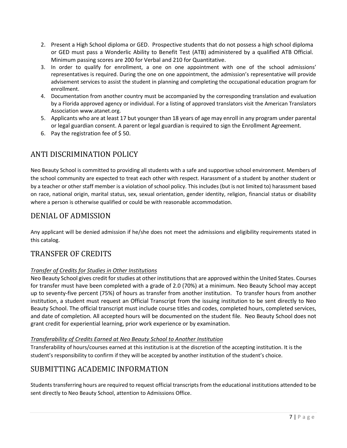- 2. Present a High School diploma or GED. Prospective students that do not possess a high school diploma or GED must pass a Wonderlic Ability to Benefit Test (ATB) administered by a qualified ATB Official. Minimum passing scores are 200 for Verbal and 210 for Quantitative.
- 3. In order to qualify for enrollment, a one on one appointment with one of the school admissions' representatives is required. During the one on one appointment, the admission's representative will provide advisement services to assist the student in planning and completing the occupational education program for enrollment.
- 4. Documentation from another country must be accompanied by the corresponding translation and evaluation by a Florida approved agency or individual. For a listing of approved translators visit the American Translators Association [www.atanet.org.](http://www.atanet.org/)
- 5. Applicants who are at least 17 but younger than 18 years of age may enroll in any program under parental or legal guardian consent. A parent or legal guardian is required to sign the Enrollment Agreement.
- 6. Pay the registration fee of \$ 50.

# <span id="page-6-0"></span>ANTI DISCRIMINATION POLICY

Neo Beauty School is committed to providing all students with a safe and supportive school environment. Members of the school community are expected to treat each other with respect. Harassment of a student by another student or by a teacher or other staff member is a violation of school policy. This includes (but is not limited to) harassment based on race, national origin, marital status, sex, sexual orientation, gender identity, religion, financial status or disability where a person is otherwise qualified or could be with reasonable accommodation.

## <span id="page-6-1"></span>DENIAL OF ADMISSION

Any applicant will be denied admission if he/she does not meet the admissions and eligibility requirements stated in this catalog.

## <span id="page-6-2"></span>TRANSFER OF CREDITS

#### *Transfer of Credits for Studies in Other Institutions*

Neo Beauty School gives credit for studies at other institutions that are approved within the United States. Courses for transfer must have been completed with a grade of 2.0 (70%) at a minimum. Neo Beauty School may accept up to seventy-five percent (75%) of hours as transfer from another institution. To transfer hours from another institution, a student must request an Official Transcript from the issuing institution to be sent directly to Neo Beauty School. The official transcript must include course titles and codes, completed hours, completed services, and date of completion. All accepted hours will be documented on the student file. Neo Beauty School does not grant credit for experiential learning, prior work experience or by examination.

#### *Transferability of Credits Earned at Neo Beauty School to Another Institution*

Transferability of hours/courses earned at this institution is at the discretion of the accepting institution. It is the student's responsibility to confirm if they will be accepted by another institution of the student's choice.

# <span id="page-6-3"></span>SUBMITTING ACADEMIC INFORMATION

Students transferring hours are required to request official transcripts from the educational institutions attended to be sent directly to Neo Beauty School, attention to Admissions Office.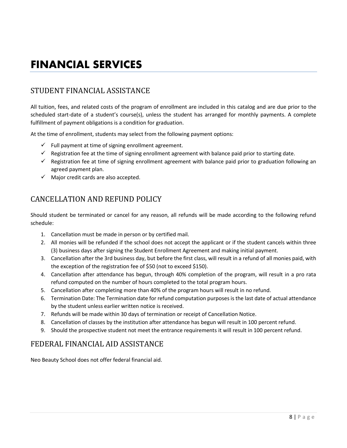# <span id="page-7-0"></span>FINANCIAL SERVICES

# <span id="page-7-1"></span>STUDENT FINANCIAL ASSISTANCE

All tuition, fees, and related costs of the program of enrollment are included in this catalog and are due prior to the scheduled start-date of a student's course(s), unless the student has arranged for monthly payments. A complete fulfillment of payment obligations is a condition for graduation.

At the time of enrollment, students may select from the following payment options:

- $\checkmark$  Full payment at time of signing enrollment agreement.
- $\checkmark$  Registration fee at the time of signing enrollment agreement with balance paid prior to starting date.
- ✓ Registration fee at time of signing enrollment agreement with balance paid prior to graduation following an agreed payment plan.
- $\checkmark$  Major credit cards are also accepted.

## <span id="page-7-2"></span>CANCELLATION AND REFUND POLICY

Should student be terminated or cancel for any reason, all refunds will be made according to the following refund schedule:

- 1. Cancellation must be made in person or by certified mail.
- 2. All monies will be refunded if the school does not accept the applicant or if the student cancels within three (3) business days after signing the Student Enrollment Agreement and making initial payment.
- 3. Cancellation after the 3rd business day, but before the first class, will result in a refund of all monies paid, with the exception of the registration fee of \$50 (not to exceed \$150).
- 4. Cancellation after attendance has begun, through 40% completion of the program, will result in a pro rata refund computed on the number of hours completed to the total program hours.
- 5. Cancellation after completing more than 40% of the program hours will result in no refund.
- 6. Termination Date: The Termination date for refund computation purposes is the last date of actual attendance by the student unless earlier written notice is received.
- 7. Refunds will be made within 30 days of termination or receipt of Cancellation Notice.
- 8. Cancellation of classes by the institution after attendance has begun will result in 100 percent refund.
- 9. Should the prospective student not meet the entrance requirements it will result in 100 percent refund.

#### <span id="page-7-3"></span>FEDERAL FINANCIAL AID ASSISTANCE

Neo Beauty School does not offer federal financial aid.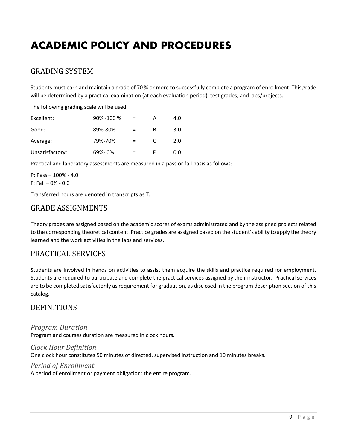# <span id="page-8-0"></span>ACADEMIC POLICY AND PROCEDURES

# <span id="page-8-1"></span>GRADING SYSTEM

Students must earn and maintain a grade of 70 % or more to successfully complete a program of enrollment. This grade will be determined by a practical examination (at each evaluation period), test grades, and labs/projects.

The following grading scale will be used:

| Excellent:      | 90% -100 % | А | 4.0 |
|-----------------|------------|---|-----|
| Good:           | 89%-80%    | в | 3.0 |
| Average:        | 79%-70%    |   | 2.0 |
| Unsatisfactory: | 69%-0%     |   | 0.0 |

Practical and laboratory assessments are measured in a pass or fail basis as follows:

P: Pass – 100% - 4.0 F: Fail – 0% - 0.0

Transferred hours are denoted in transcripts as T.

## <span id="page-8-2"></span>GRADE ASSIGNMENTS

Theory grades are assigned based on the academic scores of exams administrated and by the assigned projects related to the corresponding theoretical content. Practice grades are assigned based on the student's ability to apply the theory learned and the work activities in the labs and services.

## <span id="page-8-3"></span>PRACTICAL SERVICES

Students are involved in hands on activities to assist them acquire the skills and practice required for employment. Students are required to participate and complete the practical services assigned by their instructor. Practical services are to be completed satisfactorily as requirement for graduation, as disclosed in the program description section of this catalog.

## <span id="page-8-4"></span>**DEFINITIONS**

<span id="page-8-5"></span>*Program Duration* Program and courses duration are measured in clock hours.

<span id="page-8-6"></span>*Clock Hour Definition* One clock hour constitutes 50 minutes of directed, supervised instruction and 10 minutes breaks.

<span id="page-8-7"></span>*Period of Enrollment* A period of enrollment or payment obligation: the entire program.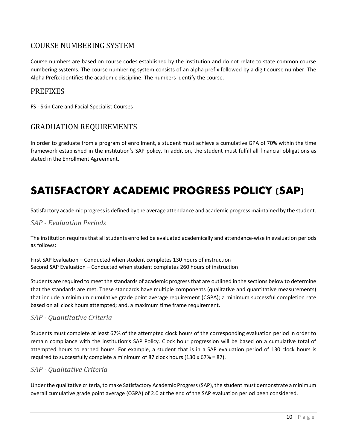# <span id="page-9-0"></span>COURSE NUMBERING SYSTEM

Course numbers are based on course codes established by the institution and do not relate to state common course numbering systems. The course numbering system consists of an alpha prefix followed by a digit course number. The Alpha Prefix identifies the academic discipline. The numbers identify the course.

## <span id="page-9-1"></span>PREFIXES

FS - Skin Care and Facial Specialist Courses

# <span id="page-9-2"></span>GRADUATION REQUIREMENTS

In order to graduate from a program of enrollment, a student must achieve a cumulative GPA of 70% within the time framework established in the institution's SAP policy. In addition, the student must fulfill all financial obligations as stated in the Enrollment Agreement.

# <span id="page-9-3"></span>SATISFACTORY ACADEMIC PROGRESS POLICY (SAP)

Satisfactory academic progress is defined by the average attendance and academic progress maintained by the student.

#### <span id="page-9-4"></span>*SAP - Evaluation Periods*

The institution requires that all students enrolled be evaluated academically and attendance-wise in evaluation periods as follows:

First SAP Evaluation – Conducted when student completes 130 hours of instruction Second SAP Evaluation – Conducted when student completes 260 hours of instruction

Students are required to meet the standards of academic progress that are outlined in the sections below to determine that the standards are met. These standards have multiple components (qualitative and quantitative measurements) that include a minimum cumulative grade point average requirement (CGPA); a minimum successful completion rate based on all clock hours attempted; and, a maximum time frame requirement.

#### <span id="page-9-5"></span>*SAP - Quantitative Criteria*

Students must complete at least 67% of the attempted clock hours of the corresponding evaluation period in order to remain compliance with the institution's SAP Policy. Clock hour progression will be based on a cumulative total of attempted hours to earned hours. For example, a student that is in a SAP evaluation period of 130 clock hours is required to successfully complete a minimum of 87 clock hours (130 x 67% = 87).

#### <span id="page-9-6"></span>*SAP - Qualitative Criteria*

Under the qualitative criteria, to make Satisfactory Academic Progress(SAP), the student must demonstrate a minimum overall cumulative grade point average (CGPA) of 2.0 at the end of the SAP evaluation period been considered.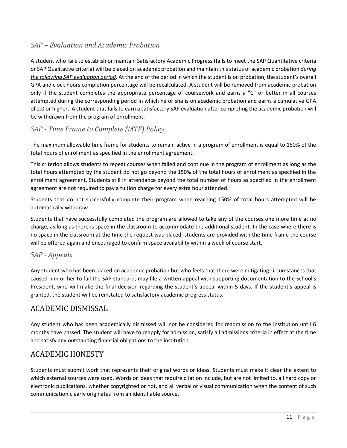#### <span id="page-10-0"></span>*SAP – Evaluation and Academic Probation*

A student who fails to establish or maintain Satisfactory Academic Progress (fails to meet the SAP Quantitative criteria or SAP Qualitative criteria) will be placed on academic probation and maintain this status of academic probation *during the following SAP evaluation period*. At the end of the period in which the student is on probation, the student's overall GPA and clock hours completion percentage will be recalculated. A student will be removed from academic probation only if the student completes the appropriate percentage of coursework and earns a "C" or better in all courses attempted during the corresponding period in which he or she is on academic probation and earns a cumulative GPA of 2.0 or higher. A student that fails to earn a satisfactory SAP evaluation after completing the academic probation will be withdrawn from the program of enrollment.

#### <span id="page-10-1"></span>*SAP - Time Frame to Complete (MTF) Policy*

The maximum allowable time frame for students to remain active in a program of enrollment is equal to 150% of the total hours of enrollment as specified in the enrollment agreement.

This criterion allows students to repeat courses when failed and continue in the program of enrollment as long as the total hours attempted by the student do not go beyond the 150% of the total hours of enrollment as specified in the enrollment agreement. Students still in attendance beyond the total number of hours as specified in the enrollment agreement are not required to pay a tuition charge for every extra hour attended.

Students that do not successfully complete their program when reaching 150% of total hours attempted will be automatically withdraw.

Students that have successfully completed the program are allowed to take any of the courses one more time at no charge, as long as there is space in the classroom to accommodate the additional student. In the case where there is no space in the classroom at the time the request was placed, students are provided with the time frame the course will be offered again and encouraged to confirm space availability within a week of course start.

#### <span id="page-10-2"></span>*SAP - Appeals*

Any student who has been placed on academic probation but who feels that there were mitigating circumstances that caused him or her to fail the SAP standard, may file a written appeal with supporting documentation to the School's President, who will make the final decision regarding the student's appeal within 5 days. If the student's appeal is granted, the student will be reinstated to satisfactory academic progress status.

#### <span id="page-10-3"></span>ACADEMIC DISMISSAL

Any student who has been academically dismissed will not be considered for readmission to the institution until 6 months have passed. The student will have to reapply for admission, satisfy all admissions criteria in effect at the time and satisfy any outstanding financial obligations to the institution.

# <span id="page-10-4"></span>ACADEMIC HONESTY

Students must submit work that represents their original words or ideas. Students must make it clear the extent to which external sources were used. Words or ideas that require citation include, but are not limited to, all hard copy or electronic publications, whether copyrighted or not, and all verbal or visual communication when the content of such communication clearly originates from an identifiable source.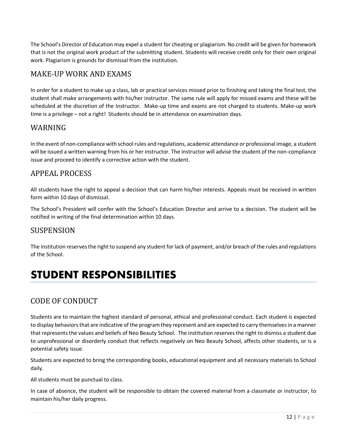The School's Director of Education may expel a student for cheating or plagiarism. No credit will be given for homework that is not the original work product of the submitting student. Students will receive credit only for their own original work. Plagiarism is grounds for dismissal from the institution.

# <span id="page-11-0"></span>MAKE-UP WORK AND EXAMS

In order for a student to make up a class, lab or practical services missed prior to finishing and taking the final test, the student shall make arrangements with his/her instructor. The same rule will apply for missed exams and these will be scheduled at the discretion of the Instructor. Make-up time and exams are not charged to students. Make-up work time is a privilege – not a right! Students should be in attendance on examination days.

## <span id="page-11-1"></span>WARNING

In the event of non-compliance with school rules and regulations, academic attendance or professional image, a student will be issued a written warning from his or her instructor. The instructor will advise the student of the non-compliance issue and proceed to identify a corrective action with the student.

## <span id="page-11-2"></span>APPEAL PROCESS

All students have the right to appeal a decision that can harm his/her interests. Appeals must be received in written form within 10 days of dismissal.

The School's President will confer with the School's Education Director and arrive to a decision. The student will be notified in writing of the final determination within 10 days.

## <span id="page-11-3"></span>SUSPENSION

The institution reserves the right to suspend any student for lack of payment, and/or breach of the rules and regulations of the School.

# <span id="page-11-4"></span>STUDENT RESPONSIBILITIES

# <span id="page-11-5"></span>CODE OF CONDUCT

Students are to maintain the highest standard of personal, ethical and professional conduct. Each student is expected to display behaviors that are indicative of the program they represent and are expected to carry themselves in a manner that represents the values and beliefs of Neo Beauty School. The institution reserves the right to dismiss a student due to unprofessional or disorderly conduct that reflects negatively on Neo Beauty School, affects other students, or is a potential safety issue.

Students are expected to bring the corresponding books, educational equipment and all necessary materials to School daily.

All students must be punctual to class.

In case of absence, the student will be responsible to obtain the covered material from a classmate or instructor, to maintain his/her daily progress.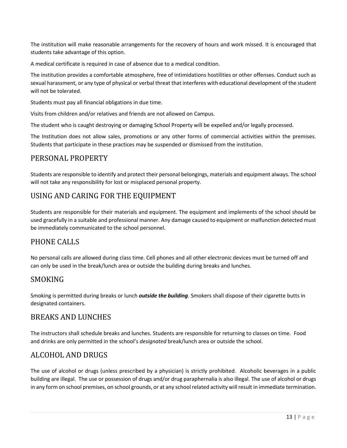The institution will make reasonable arrangements for the recovery of hours and work missed. It is encouraged that students take advantage of this option.

A medical certificate is required in case of absence due to a medical condition.

The institution provides a comfortable atmosphere, free of intimidations hostilities or other offenses. Conduct such as sexual harassment, or any type of physical or verbal threat that interferes with educational development of the student will not be tolerated.

Students must pay all financial obligations in due time.

Visits from children and/or relatives and friends are not allowed on Campus.

The student who is caught destroying or damaging School Property will be expelled and/or legally processed.

The Institution does not allow sales, promotions or any other forms of commercial activities within the premises. Students that participate in these practices may be suspended or dismissed from the institution.

#### <span id="page-12-0"></span>PERSONAL PROPERTY

Students are responsible to identify and protect their personal belongings, materials and equipment always. The school will not take any responsibility for lost or misplaced personal property.

#### <span id="page-12-1"></span>USING AND CARING FOR THE EQUIPMENT

Students are responsible for their materials and equipment. The equipment and implements of the school should be used gracefully in a suitable and professional manner. Any damage caused to equipment or malfunction detected must be immediately communicated to the school personnel.

## <span id="page-12-2"></span>PHONE CALLS

No personal calls are allowed during class time. Cell phones and all other electronic devices must be turned off and can only be used in the break/lunch area or outside the building during breaks and lunches.

#### <span id="page-12-3"></span>SMOKING

Smoking is permitted during breaks or lunch *outside the building*. Smokers shall dispose of their cigarette butts in designated containers.

#### <span id="page-12-4"></span>BREAKS AND LUNCHES

The instructors shall schedule breaks and lunches. Students are responsible for returning to classes on time. Food and drinks are only permitted in the school's *designated* break/lunch area or outside the school.

#### <span id="page-12-5"></span>ALCOHOL AND DRUGS

The use of alcohol or drugs (unless prescribed by a physician) is strictly prohibited. Alcoholic beverages in a public building are illegal. The use or possession of drugs and/or drug paraphernalia is also illegal. The use of alcohol or drugs in any form on school premises, on school grounds, or at any school related activity will result in immediate termination.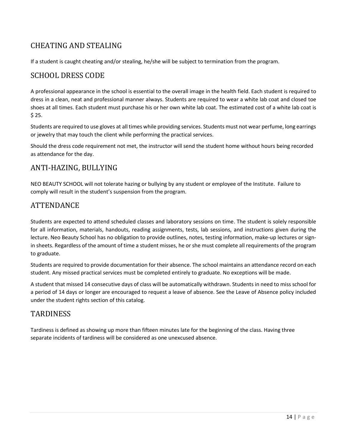# <span id="page-13-0"></span>CHEATING AND STEALING

If a student is caught cheating and/or stealing, he/she will be subject to termination from the program.

## <span id="page-13-1"></span>SCHOOL DRESS CODE

A professional appearance in the school is essential to the overall image in the health field. Each student is required to dress in a clean, neat and professional manner always. Students are required to wear a white lab coat and closed toe shoes at all times. Each student must purchase his or her own white lab coat. The estimated cost of a white lab coat is  $$25.$ 

Students are required to use gloves at all times while providing services. Students must not wear perfume, long earrings or jewelry that may touch the client while performing the practical services.

Should the dress code requirement not met, the instructor will send the student home without hours being recorded as attendance for the day.

## <span id="page-13-2"></span>ANTI-HAZING, BULLYING

NEO BEAUTY SCHOOL will not tolerate hazing or bullying by any student or employee of the Institute. Failure to comply will result in the student's suspension from the program.

## <span id="page-13-3"></span>ATTENDANCE

Students are expected to attend scheduled classes and laboratory sessions on time. The student is solely responsible for all information, materials, handouts, reading assignments, tests, lab sessions, and instructions given during the lecture. Neo Beauty School has no obligation to provide outlines, notes, testing information, make-up lectures or signin sheets. Regardless of the amount of time a student misses, he or she must complete all requirements of the program to graduate.

Students are required to provide documentation for their absence. The school maintains an attendance record on each student. Any missed practical services must be completed entirely to graduate. No exceptions will be made.

A student that missed 14 consecutive days of class will be automatically withdrawn. Students in need to miss school for a period of 14 days or longer are encouraged to request a leave of absence. See the Leave of Absence policy included under the student rights section of this catalog.

## <span id="page-13-4"></span>TARDINESS

Tardiness is defined as showing up more than fifteen minutes late for the beginning of the class. Having three separate incidents of tardiness will be considered as one unexcused absence.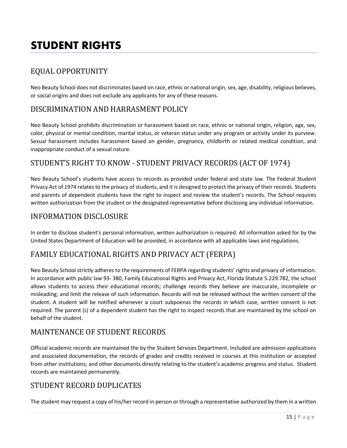# <span id="page-14-0"></span>STUDENT RIGHTS

# <span id="page-14-1"></span>EQUAL OPPORTUNITY

Neo Beauty School does not discriminates based on race, ethnic or national origin, sex, age, disability, religious believes, or social origins and does not exclude any applicants for any of these reasons.

## <span id="page-14-2"></span>DISCRIMINATION AND HARRASMENT POLICY

Neo Beauty School prohibits discrimination or harassment based on race, ethnic or national origin, religion, age, sex, color, physical or mental condition, marital status, or veteran status under any program or activity under its purview. Sexual harassment includes harassment based on gender, pregnancy, childbirth or related medical condition, and inappropriate conduct of a sexual nature.

# <span id="page-14-3"></span>STUDENT'S RIGHT TO KNOW - STUDENT PRIVACY RECORDS (ACT OF 1974)

Neo Beauty School's students have access to records as provided under federal and state law. The Federal Student Privacy Act of 1974 relates to the privacy of students, and it is designed to protect the privacy of their records. Students and parents of dependent students have the right to inspect and review the student's records. The School requires written authorization from the student or the designated representative before disclosing any individual information.

#### <span id="page-14-4"></span>INFORMATION DISCLOSURE

In order to disclose student's personal information, written authorization is required. All information asked for by the United States Department of Education will be provided, in accordance with all applicable laws and regulations.

# <span id="page-14-5"></span>FAMILY EDUCATIONAL RIGHTS AND PRIVACY ACT (FERPA)

Neo Beauty School strictly adheres to the requirements of FERPA regarding students' rights and privacy of information. In accordance with public law 93- 380, Family Educational Rights and Privacy Act, Florida Statute 5.229.782, the school allows students to access their educational records; challenge records they believe are inaccurate, incomplete or misleading; and limit the release of such information. Records will not be released without the written consent of the student. A student will be notified whenever a court subpoenas the records in which case, written consent is not required. The parent (s) of a dependent student has the right to inspect records that are maintained by the school on behalf of the student.

## <span id="page-14-6"></span>MAINTENANCE OF STUDENT RECORDS

Official academic records are maintained the by the Student Services Department. Included are admission applications and associated documentation, the records of grades and credits received in courses at this institution or accepted from other institutions; and other documents directly relating to the student's academic progress and status. Student records are maintained permanently.

## <span id="page-14-7"></span>STUDENT RECORD DUPLICATES

The student may request a copy of his/her record in person or through a representative authorized by them in a written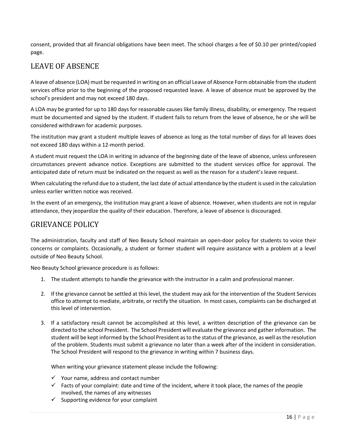consent, provided that all financial obligations have been meet. The school charges a fee of \$0.10 per printed/copied page.

# <span id="page-15-0"></span>LEAVE OF ABSENCE

A leave of absence (LOA) must be requested in writing on an official Leave of Absence Form obtainable from the student services office prior to the beginning of the proposed requested leave. A leave of absence must be approved by the school's president and may not exceed 180 days.

A LOA may be granted for up to 180 days for reasonable causes like family illness, disability, or emergency. The request must be documented and signed by the student. If student fails to return from the leave of absence, he or she will be considered withdrawn for academic purposes.

The institution may grant a student multiple leaves of absence as long as the total number of days for all leaves does not exceed 180 days within a 12-month period.

A student must request the LOA in writing in advance of the beginning date of the leave of absence, unless unforeseen circumstances prevent advance notice. Exceptions are submitted to the student services office for approval. The anticipated date of return must be indicated on the request as well as the reason for a student's leave request.

When calculating the refund due to a student, the last date of actual attendance by the student is used in the calculation unless earlier written notice was received.

In the event of an emergency, the institution may grant a leave of absence. However, when students are not in regular attendance, they jeopardize the quality of their education. Therefore, a leave of absence is discouraged.

## <span id="page-15-1"></span>GRIEVANCE POLICY

The administration, faculty and staff of Neo Beauty School maintain an open-door policy for students to voice their concerns or complaints. Occasionally, a student or former student will require assistance with a problem at a level outside of Neo Beauty School.

Neo Beauty School grievance procedure is as follows:

- 1. The student attempts to handle the grievance with the instructor in a calm and professional manner.
- 2. If the grievance cannot be settled at this level, the student may ask for the intervention of the Student Services office to attempt to mediate, arbitrate, or rectify the situation. In most cases, complaints can be discharged at this level of intervention.
- 3. If a satisfactory result cannot be accomplished at this level, a written description of the grievance can be directed to the school President. The School President will evaluate the grievance and gather information. The student will be kept informed by the School President as to the status of the grievance, as well as the resolution of the problem. Students must submit a grievance no later than a week after of the incident in consideration. The School President will respond to the grievance in writing within 7 business days.

When writing your grievance statement please include the following:

- $\checkmark$  Your name, address and contact number
- $\checkmark$  Facts of your complaint: date and time of the incident, where it took place, the names of the people involved, the names of any witnesses
- $\checkmark$  Supporting evidence for your complaint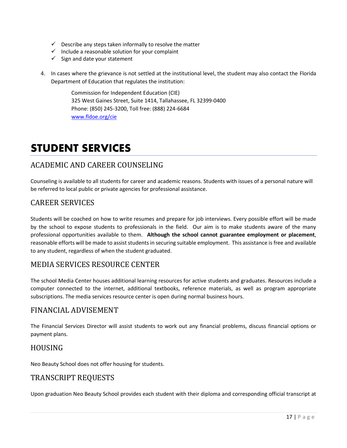- $\checkmark$  Describe any steps taken informally to resolve the matter
- $\checkmark$  Include a reasonable solution for your complaint
- $\checkmark$  Sign and date your statement
- 4. In cases where the grievance is not settled at the institutional level, the student may also contact the Florida Department of Education that regulates the institution:

Commission for Independent Education (CIE) 325 West Gaines Street, Suite 1414, Tallahassee, FL 32399-0400 Phone: (850) 245-3200, Toll free: (888) 224-6684 [www.fldoe.org/cie](http://www.fldoe.org/cie)

# <span id="page-16-0"></span>STUDENT SERVICES

## <span id="page-16-1"></span>ACADEMIC AND CAREER COUNSELING

Counseling is available to all students for career and academic reasons. Students with issues of a personal nature will be referred to local public or private agencies for professional assistance.

# <span id="page-16-2"></span>CAREER SERVICES

Students will be coached on how to write resumes and prepare for job interviews. Every possible effort will be made by the school to expose students to professionals in the field. Our aim is to make students aware of the many professional opportunities available to them. **Although the school cannot guarantee employment or placement**, reasonable efforts will be made to assist students in securing suitable employment. This assistance is free and available to any student, regardless of when the student graduated.

#### <span id="page-16-3"></span>MEDIA SERVICES RESOURCE CENTER

The school Media Center houses additional learning resources for active students and graduates. Resources include a computer connected to the internet, additional textbooks, reference materials, as well as program appropriate subscriptions. The media services resource center is open during normal business hours.

#### <span id="page-16-4"></span>FINANCIAL ADVISEMENT

The Financial Services Director will assist students to work out any financial problems, discuss financial options or payment plans.

## <span id="page-16-5"></span>HOUSING

Neo Beauty School does not offer housing for students.

## <span id="page-16-6"></span>TRANSCRIPT REQUESTS

Upon graduation Neo Beauty School provides each student with their diploma and corresponding official transcript at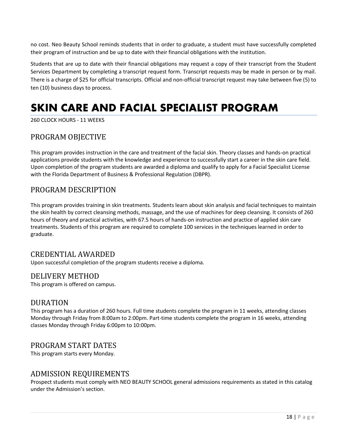no cost. Neo Beauty School reminds students that in order to graduate, a student must have successfully completed their program of instruction and be up to date with their financial obligations with the institution.

Students that are up to date with their financial obligations may request a copy of their transcript from the Student Services Department by completing a transcript request form. Transcript requests may be made in person or by mail. There is a charge of \$25 for official transcripts. Official and non-official transcript request may take between five (5) to ten (10) business days to process.

# <span id="page-17-0"></span>SKIN CARE AND FACIAL SPECIALIST PROGRAM

260 CLOCK HOURS - 11 WEEKS

## <span id="page-17-1"></span>PROGRAM OBJECTIVE

This program provides instruction in the care and treatment of the facial skin. Theory classes and hands-on practical applications provide students with the knowledge and experience to successfully start a career in the skin care field. Upon completion of the program students are awarded a diploma and qualify to apply for a Facial Specialist License with the Florida Department of Business & Professional Regulation (DBPR).

#### <span id="page-17-2"></span>PROGRAM DESCRIPTION

This program provides training in skin treatments. Students learn about skin analysis and facial techniques to maintain the skin health by correct cleansing methods, massage, and the use of machines for deep cleansing. It consists of 260 hours of theory and practical activities, with 67.5 hours of hands-on instruction and practice of applied skin care treatments. Students of this program are required to complete 100 services in the techniques learned in order to graduate.

#### <span id="page-17-3"></span>CREDENTIAL AWARDED

Upon successful completion of the program students receive a diploma.

#### <span id="page-17-4"></span>DELIVERY METHOD

This program is offered on campus.

#### <span id="page-17-5"></span>DURATION

This program has a duration of 260 hours. Full time students complete the program in 11 weeks, attending classes Monday through Friday from 8:00am to 2:00pm. Part-time students complete the program in 16 weeks, attending classes Monday through Friday 6:00pm to 10:00pm.

#### <span id="page-17-6"></span>PROGRAM START DATES

This program starts every Monday.

#### <span id="page-17-7"></span>ADMISSION REQUIREMENTS

Prospect students must comply with NEO BEAUTY SCHOOL general admissions requirements as stated in this catalog under the Admission's section.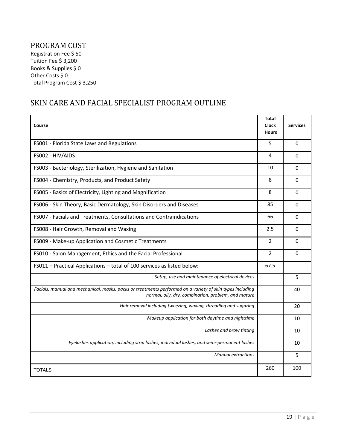# <span id="page-18-0"></span>PROGRAM COST

Registration Fee \$ 50 Tuition Fee \$ 3,200 Books & Supplies \$ 0 Other Costs \$0 Total Program Cost \$ 3,250

# <span id="page-18-1"></span>SKIN CARE AND FACIAL SPECIALIST PROGRAM OUTLINE

| Course                                                                                                                                                           | <b>Total</b><br><b>Clock</b><br><b>Hours</b> | <b>Services</b> |
|------------------------------------------------------------------------------------------------------------------------------------------------------------------|----------------------------------------------|-----------------|
|                                                                                                                                                                  |                                              |                 |
| FS001 - Florida State Laws and Regulations                                                                                                                       | 5                                            | $\Omega$        |
| FS002 - HIV/AIDS                                                                                                                                                 | 4                                            | 0               |
| FS003 - Bacteriology, Sterilization, Hygiene and Sanitation                                                                                                      | 10                                           | $\Omega$        |
| FS004 - Chemistry, Products, and Product Safety                                                                                                                  | 8                                            | 0               |
| FS005 - Basics of Electricity, Lighting and Magnification                                                                                                        | 8                                            | 0               |
| FS006 - Skin Theory, Basic Dermatology, Skin Disorders and Diseases                                                                                              | 85                                           | 0               |
| FS007 - Facials and Treatments, Consultations and Contraindications                                                                                              | 66                                           | 0               |
| FS008 - Hair Growth, Removal and Waxing                                                                                                                          | 2.5                                          | 0               |
| FS009 - Make-up Application and Cosmetic Treatments                                                                                                              | $\overline{2}$                               | 0               |
| FS010 - Salon Management, Ethics and the Facial Professional                                                                                                     | 2                                            | 0               |
| FS011 - Practical Applications - total of 100 services as listed below:                                                                                          | 67.5                                         |                 |
| Setup, use and maintenance of electrical devices                                                                                                                 |                                              | 5               |
| Facials, manual and mechanical, masks, packs or treatments performed on a variety of skin types including<br>normal, oily, dry, combination, problem, and mature |                                              | 40              |
| Hair removal including tweezing, waxing, threading and sugaring                                                                                                  |                                              | 20              |
| Makeup application for both daytime and nighttime                                                                                                                |                                              | 10              |
| Lashes and brow tinting                                                                                                                                          |                                              | 10              |
| Eyelashes application, including strip lashes, individual lashes, and semi-permanent lashes                                                                      |                                              | 10              |
| <b>Manual extractions</b>                                                                                                                                        |                                              | 5               |
| <b>TOTALS</b>                                                                                                                                                    | 260                                          | 100             |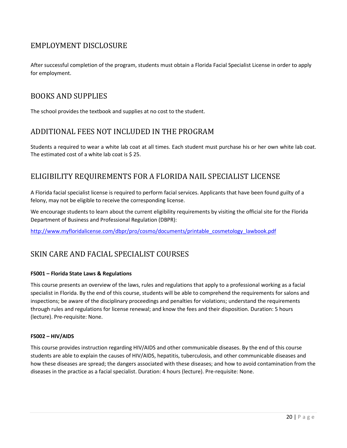# <span id="page-19-0"></span>EMPLOYMENT DISCLOSURE

After successful completion of the program, students must obtain a Florida Facial Specialist License in order to apply for employment.

## <span id="page-19-1"></span>BOOKS AND SUPPLIES

The school provides the textbook and supplies at no cost to the student.

# <span id="page-19-2"></span>ADDITIONAL FEES NOT INCLUDED IN THE PROGRAM

Students a required to wear a white lab coat at all times. Each student must purchase his or her own white lab coat. The estimated cost of a white lab coat is \$25.

## <span id="page-19-3"></span>ELIGIBILITY REQUIREMENTS FOR A FLORIDA NAIL SPECIALIST LICENSE

A Florida facial specialist license is required to perform facial services. Applicants that have been found guilty of a felony, may not be eligible to receive the corresponding license.

We encourage students to learn about the current eligibility requirements by visiting the official site for the Florida Department of Business and Professional Regulation (DBPR):

[http://www.myfloridalicense.com/dbpr/pro/cosmo/documents/printable\\_cosmetology\\_lawbook.pdf](http://www.myfloridalicense.com/dbpr/pro/cosmo/documents/printable_cosmetology_lawbook.pdf)

# <span id="page-19-4"></span>SKIN CARE AND FACIAL SPECIALIST COURSES

#### **FS001 – Florida State Laws & Regulations**

This course presents an overview of the laws, rules and regulations that apply to a professional working as a facial specialist in Florida. By the end of this course, students will be able to comprehend the requirements for salons and inspections; be aware of the disciplinary proceedings and penalties for violations; understand the requirements through rules and regulations for license renewal; and know the fees and their disposition. Duration: 5 hours (lecture). Pre-requisite: None.

#### **FS002 – HIV/AIDS**

This course provides instruction regarding HIV/AIDS and other communicable diseases. By the end of this course students are able to explain the causes of HIV/AIDS, hepatitis, tuberculosis, and other communicable diseases and how these diseases are spread; the dangers associated with these diseases; and how to avoid contamination from the diseases in the practice as a facial specialist. Duration: 4 hours (lecture). Pre-requisite: None.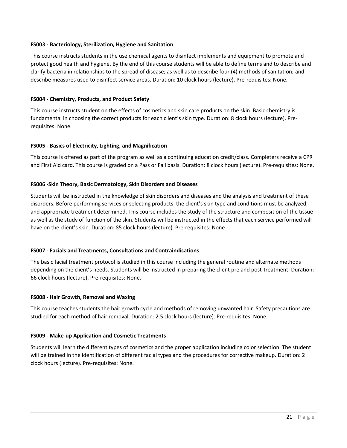#### **FS003 - Bacteriology, Sterilization, Hygiene and Sanitation**

This course instructs students in the use chemical agents to disinfect implements and equipment to promote and protect good health and hygiene. By the end of this course students will be able to define terms and to describe and clarify bacteria in relationships to the spread of disease; as well as to describe four (4) methods of sanitation; and describe measures used to disinfect service areas. Duration: 10 clock hours (lecture). Pre-requisites: None.

#### **FS004 - Chemistry, Products, and Product Safety**

This course instructs student on the effects of cosmetics and skin care products on the skin. Basic chemistry is fundamental in choosing the correct products for each client's skin type. Duration: 8 clock hours (lecture). Prerequisites: None.

#### **FS005 - Basics of Electricity, Lighting, and Magnification**

This course is offered as part of the program as well as a continuing education credit/class. Completers receive a CPR and First Aid card. This course is graded on a Pass or Fail basis. Duration: 8 clock hours (lecture). Pre-requisites: None.

#### **FS006 -Skin Theory, Basic Dermatology, Skin Disorders and Diseases**

Students will be instructed in the knowledge of skin disorders and diseases and the analysis and treatment of these disorders. Before performing services or selecting products, the client's skin type and conditions must be analyzed, and appropriate treatment determined. This course includes the study of the structure and composition of the tissue as well as the study of function of the skin. Students will be instructed in the effects that each service performed will have on the client's skin. Duration: 85 clock hours (lecture). Pre-requisites: None.

#### **FS007 - Facials and Treatments, Consultations and Contraindications**

The basic facial treatment protocol is studied in this course including the general routine and alternate methods depending on the client's needs. Students will be instructed in preparing the client pre and post-treatment. Duration: 66 clock hours (lecture). Pre-requisites: None.

#### **FS008 - Hair Growth, Removal and Waxing**

This course teaches students the hair growth cycle and methods of removing unwanted hair. Safety precautions are studied for each method of hair removal. Duration: 2.5 clock hours (lecture). Pre-requisites: None.

#### **FS009 - Make-up Application and Cosmetic Treatments**

Students will learn the different types of cosmetics and the proper application including color selection. The student will be trained in the identification of different facial types and the procedures for corrective makeup. Duration: 2 clock hours (lecture). Pre-requisites: None.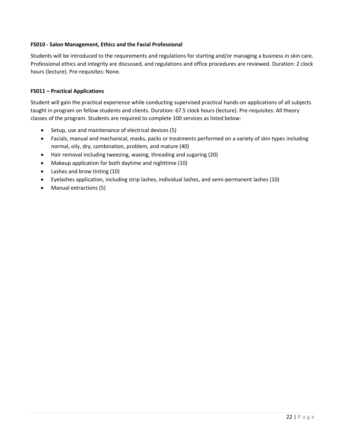#### **FS010 - Salon Management, Ethics and the Facial Professional**

Students will be introduced to the requirements and regulations for starting and/or managing a business in skin care. Professional ethics and integrity are discussed, and regulations and office procedures are reviewed. Duration: 2 clock hours (lecture). Pre-requisites: None.

#### **FS011 – Practical Applications**

Student will gain the practical experience while conducting supervised practical hands-on applications of all subjects taught in program on fellow students and clients. Duration: 67.5 clock hours (lecture). Pre-requisites: All theory classes of the program. Students are required to complete 100 services as listed below:

- Setup, use and maintenance of electrical devices (5)
- Facials, manual and mechanical, masks, packs or treatments performed on a variety of skin types including normal, oily, dry, combination, problem, and mature (40)
- Hair removal including tweezing, waxing, threading and sugaring (20)
- Makeup application for both daytime and nighttime (10)
- Lashes and brow tinting (10)
- Eyelashes application, including strip lashes, individual lashes, and semi-permanent lashes (10)
- Manual extractions (5)